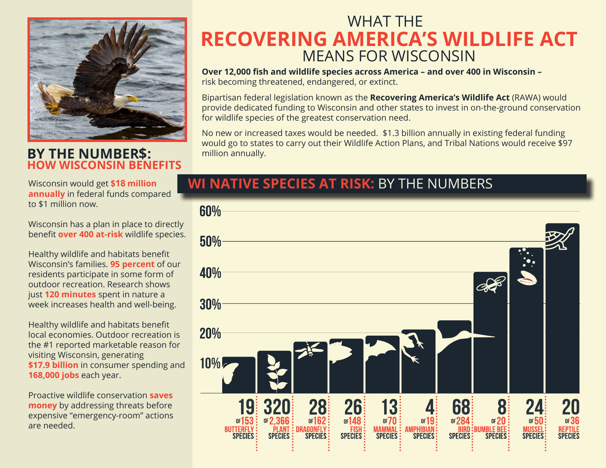

#### **BY THE NUMBER\$: HOW WISCONSIN BENEFITS**

Wisconsin would get **\$18 million annually** in federal funds compared to \$1 million now.

Wisconsin has a plan in place to directly benefit **over 400 at-risk** wildlife species.

Healthy wildlife and habitats benefit Wisconsin's families. **95 percent** of our residents participate in some form of outdoor recreation. Research shows just **120 minutes** spent in nature a week increases health and well-being.

Healthy wildlife and habitats benefit local economies. Outdoor recreation is the #1 reported marketable reason for visiting Wisconsin, generating **\$17.9 billion** in consumer spending and **168,000 jobs** each year.

Proactive wildlife conservation **saves money** by addressing threats before expensive "emergency-room" actions are needed.

# WHAT THE **RECOVERING AMERICA'S WILDLIFE ACT** MEANS FOR WISCONSIN

**Over 12,000 fish and wildlife species across America – and over 400 in Wisconsin –**  risk becoming threatened, endangered, or extinct.

Bipartisan federal legislation known as the **Recovering America's Wildlife Act** (RAWA) would provide dedicated funding to Wisconsin and other states to invest in on-the-ground conservation for wildlife species of the greatest conservation need.

No new or increased taxes would be needed. \$1.3 billion annually in existing federal funding would go to states to carry out their Wildlife Action Plans, and Tribal Nations would receive \$97 million annually.

### **WI NATIVE SPECIES AT RISK:** BY THE NUMBERS